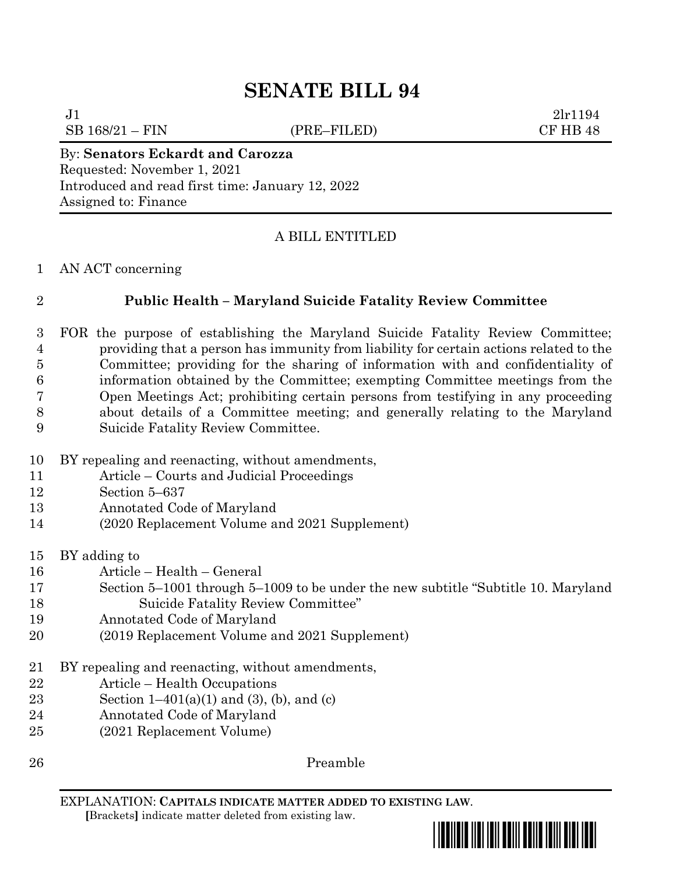SB 168/21 – FIN (PRE–FILED) CF HB 48

 $J1$  2lr1194

# By: **Senators Eckardt and Carozza** Requested: November 1, 2021 Introduced and read first time: January 12, 2022 Assigned to: Finance

# A BILL ENTITLED

### AN ACT concerning

# **Public Health – Maryland Suicide Fatality Review Committee**

 FOR the purpose of establishing the Maryland Suicide Fatality Review Committee; providing that a person has immunity from liability for certain actions related to the Committee; providing for the sharing of information with and confidentiality of information obtained by the Committee; exempting Committee meetings from the Open Meetings Act; prohibiting certain persons from testifying in any proceeding about details of a Committee meeting; and generally relating to the Maryland Suicide Fatality Review Committee.

- BY repealing and reenacting, without amendments,
- Article Courts and Judicial Proceedings
- Section 5–637
- Annotated Code of Maryland
- (2020 Replacement Volume and 2021 Supplement)
- BY adding to
- Article Health General
- Section 5–1001 through 5–1009 to be under the new subtitle "Subtitle 10. Maryland Suicide Fatality Review Committee"
- Annotated Code of Maryland
- (2019 Replacement Volume and 2021 Supplement)
- BY repealing and reenacting, without amendments,
- Article Health Occupations
- 23 Section  $1-401(a)(1)$  and  $(3)$ ,  $(b)$ , and  $(c)$
- Annotated Code of Maryland
- (2021 Replacement Volume)
- 

Preamble

EXPLANATION: **CAPITALS INDICATE MATTER ADDED TO EXISTING LAW**.  **[**Brackets**]** indicate matter deleted from existing law.

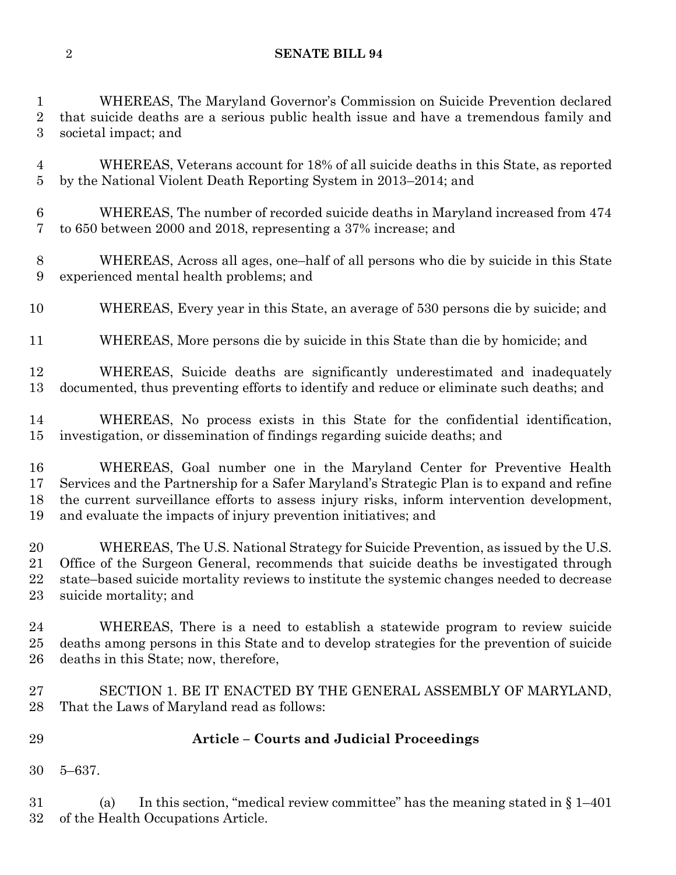WHEREAS, The Maryland Governor's Commission on Suicide Prevention declared that suicide deaths are a serious public health issue and have a tremendous family and societal impact; and

 WHEREAS, Veterans account for 18% of all suicide deaths in this State, as reported by the National Violent Death Reporting System in 2013–2014; and

 WHEREAS, The number of recorded suicide deaths in Maryland increased from 474 to 650 between 2000 and 2018, representing a 37% increase; and

 WHEREAS, Across all ages, one–half of all persons who die by suicide in this State experienced mental health problems; and

WHEREAS, Every year in this State, an average of 530 persons die by suicide; and

WHEREAS, More persons die by suicide in this State than die by homicide; and

 WHEREAS, Suicide deaths are significantly underestimated and inadequately documented, thus preventing efforts to identify and reduce or eliminate such deaths; and

 WHEREAS, No process exists in this State for the confidential identification, investigation, or dissemination of findings regarding suicide deaths; and

 WHEREAS, Goal number one in the Maryland Center for Preventive Health Services and the Partnership for a Safer Maryland's Strategic Plan is to expand and refine the current surveillance efforts to assess injury risks, inform intervention development, and evaluate the impacts of injury prevention initiatives; and

 WHEREAS, The U.S. National Strategy for Suicide Prevention, as issued by the U.S. Office of the Surgeon General, recommends that suicide deaths be investigated through state–based suicide mortality reviews to institute the systemic changes needed to decrease suicide mortality; and

 WHEREAS, There is a need to establish a statewide program to review suicide deaths among persons in this State and to develop strategies for the prevention of suicide deaths in this State; now, therefore,

 SECTION 1. BE IT ENACTED BY THE GENERAL ASSEMBLY OF MARYLAND, That the Laws of Maryland read as follows:

# **Article – Courts and Judicial Proceedings**

5–637.

 (a) In this section, "medical review committee" has the meaning stated in § 1–401 of the Health Occupations Article.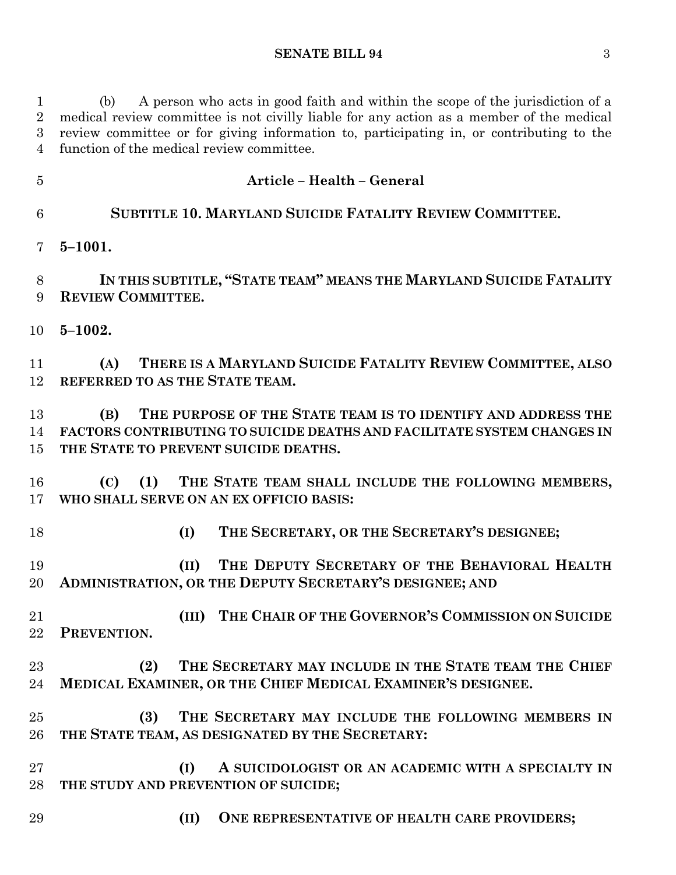(b) A person who acts in good faith and within the scope of the jurisdiction of a medical review committee is not civilly liable for any action as a member of the medical review committee or for giving information to, participating in, or contributing to the function of the medical review committee.

 **Article – Health – General SUBTITLE 10. MARYLAND SUICIDE FATALITY REVIEW COMMITTEE. 5–1001. IN THIS SUBTITLE, "STATE TEAM" MEANS THE MARYLAND SUICIDE FATALITY REVIEW COMMITTEE. 5–1002. (A) THERE IS A MARYLAND SUICIDE FATALITY REVIEW COMMITTEE, ALSO REFERRED TO AS THE STATE TEAM. (B) THE PURPOSE OF THE STATE TEAM IS TO IDENTIFY AND ADDRESS THE FACTORS CONTRIBUTING TO SUICIDE DEATHS AND FACILITATE SYSTEM CHANGES IN THE STATE TO PREVENT SUICIDE DEATHS. (C) (1) THE STATE TEAM SHALL INCLUDE THE FOLLOWING MEMBERS, WHO SHALL SERVE ON AN EX OFFICIO BASIS: (I) THE SECRETARY, OR THE SECRETARY'S DESIGNEE; (II) THE DEPUTY SECRETARY OF THE BEHAVIORAL HEALTH ADMINISTRATION, OR THE DEPUTY SECRETARY'S DESIGNEE; AND (III) THE CHAIR OF THE GOVERNOR'S COMMISSION ON SUICIDE PREVENTION. (2) THE SECRETARY MAY INCLUDE IN THE STATE TEAM THE CHIEF MEDICAL EXAMINER, OR THE CHIEF MEDICAL EXAMINER'S DESIGNEE. (3) THE SECRETARY MAY INCLUDE THE FOLLOWING MEMBERS IN THE STATE TEAM, AS DESIGNATED BY THE SECRETARY: (I) A SUICIDOLOGIST OR AN ACADEMIC WITH A SPECIALTY IN THE STUDY AND PREVENTION OF SUICIDE; (II) ONE REPRESENTATIVE OF HEALTH CARE PROVIDERS;**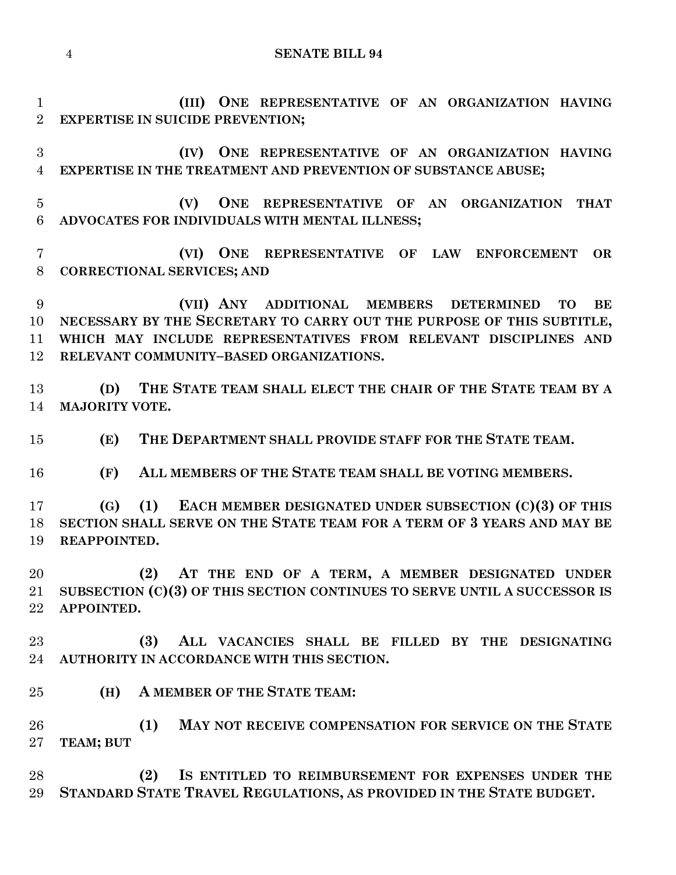```
4 SENATE BILL 94
```
 **(III) ONE REPRESENTATIVE OF AN ORGANIZATION HAVING EXPERTISE IN SUICIDE PREVENTION;**

 **(IV) ONE REPRESENTATIVE OF AN ORGANIZATION HAVING EXPERTISE IN THE TREATMENT AND PREVENTION OF SUBSTANCE ABUSE;**

 **(V) ONE REPRESENTATIVE OF AN ORGANIZATION THAT ADVOCATES FOR INDIVIDUALS WITH MENTAL ILLNESS;**

 **(VI) ONE REPRESENTATIVE OF LAW ENFORCEMENT OR CORRECTIONAL SERVICES; AND**

 **(VII) ANY ADDITIONAL MEMBERS DETERMINED TO BE NECESSARY BY THE SECRETARY TO CARRY OUT THE PURPOSE OF THIS SUBTITLE, WHICH MAY INCLUDE REPRESENTATIVES FROM RELEVANT DISCIPLINES AND RELEVANT COMMUNITY–BASED ORGANIZATIONS.**

 **(D) THE STATE TEAM SHALL ELECT THE CHAIR OF THE STATE TEAM BY A MAJORITY VOTE.**

**(E) THE DEPARTMENT SHALL PROVIDE STAFF FOR THE STATE TEAM.**

**(F) ALL MEMBERS OF THE STATE TEAM SHALL BE VOTING MEMBERS.**

 **(G) (1) EACH MEMBER DESIGNATED UNDER SUBSECTION (C)(3) OF THIS SECTION SHALL SERVE ON THE STATE TEAM FOR A TERM OF 3 YEARS AND MAY BE REAPPOINTED.**

 **(2) AT THE END OF A TERM, A MEMBER DESIGNATED UNDER SUBSECTION (C)(3) OF THIS SECTION CONTINUES TO SERVE UNTIL A SUCCESSOR IS APPOINTED.**

 **(3) ALL VACANCIES SHALL BE FILLED BY THE DESIGNATING AUTHORITY IN ACCORDANCE WITH THIS SECTION.**

**(H) A MEMBER OF THE STATE TEAM:**

 **(1) MAY NOT RECEIVE COMPENSATION FOR SERVICE ON THE STATE TEAM; BUT**

 **(2) IS ENTITLED TO REIMBURSEMENT FOR EXPENSES UNDER THE STANDARD STATE TRAVEL REGULATIONS, AS PROVIDED IN THE STATE BUDGET.**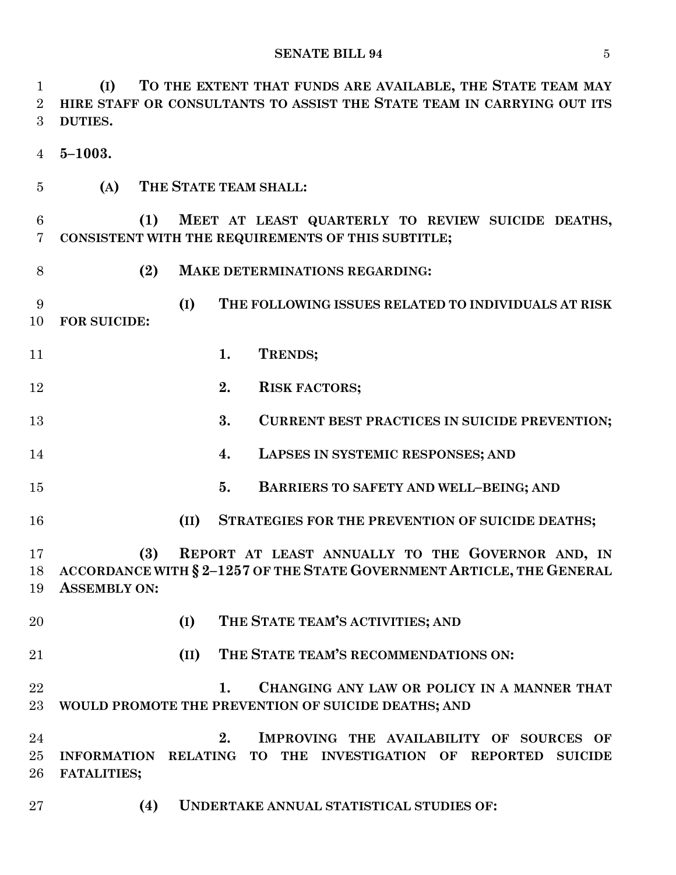**(I) TO THE EXTENT THAT FUNDS ARE AVAILABLE, THE STATE TEAM MAY HIRE STAFF OR CONSULTANTS TO ASSIST THE STATE TEAM IN CARRYING OUT ITS DUTIES.**

**5–1003.**

**(A) THE STATE TEAM SHALL:**

 **(1) MEET AT LEAST QUARTERLY TO REVIEW SUICIDE DEATHS, CONSISTENT WITH THE REQUIREMENTS OF THIS SUBTITLE;**

- 
- **(2) MAKE DETERMINATIONS REGARDING:**

 **(I) THE FOLLOWING ISSUES RELATED TO INDIVIDUALS AT RISK FOR SUICIDE:**

- **1. TRENDS;**
- **2. RISK FACTORS;**
- **3. CURRENT BEST PRACTICES IN SUICIDE PREVENTION;**
- **4. LAPSES IN SYSTEMIC RESPONSES; AND**
- **5. BARRIERS TO SAFETY AND WELL–BEING; AND**
- **(II) STRATEGIES FOR THE PREVENTION OF SUICIDE DEATHS;**

 **(3) REPORT AT LEAST ANNUALLY TO THE GOVERNOR AND, IN ACCORDANCE WITH § 2–1257 OF THE STATE GOVERNMENT ARTICLE, THE GENERAL ASSEMBLY ON:**

- 
- **(I) THE STATE TEAM'S ACTIVITIES; AND**
- **(II) THE STATE TEAM'S RECOMMENDATIONS ON:**

 **1. CHANGING ANY LAW OR POLICY IN A MANNER THAT WOULD PROMOTE THE PREVENTION OF SUICIDE DEATHS; AND**

 **2. IMPROVING THE AVAILABILITY OF SOURCES OF INFORMATION RELATING TO THE INVESTIGATION OF REPORTED SUICIDE FATALITIES;**

**(4) UNDERTAKE ANNUAL STATISTICAL STUDIES OF:**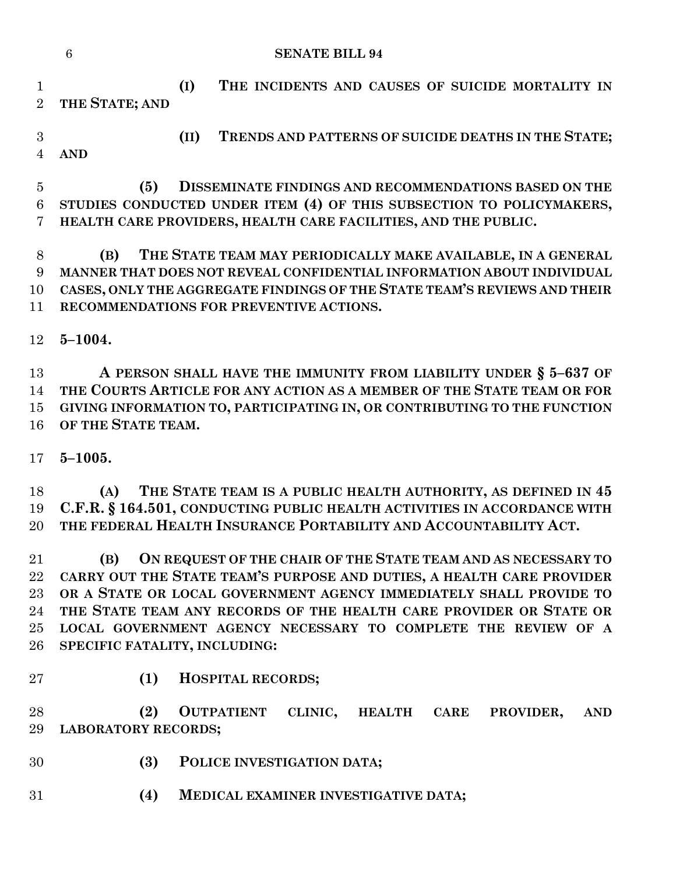|                                  | $\overline{6}$<br><b>SENATE BILL 94</b>                                                                                                                                                                                                                                                                                                                                                     |
|----------------------------------|---------------------------------------------------------------------------------------------------------------------------------------------------------------------------------------------------------------------------------------------------------------------------------------------------------------------------------------------------------------------------------------------|
| $\mathbf{1}$<br>$\overline{2}$   | (I)<br>THE INCIDENTS AND CAUSES OF SUICIDE MORTALITY IN<br>THE STATE; AND                                                                                                                                                                                                                                                                                                                   |
| 3<br>$\overline{4}$              | TRENDS AND PATTERNS OF SUICIDE DEATHS IN THE STATE;<br>(II)<br><b>AND</b>                                                                                                                                                                                                                                                                                                                   |
| $\overline{5}$<br>$\,6\,$<br>7   | (5)<br><b>DISSEMINATE FINDINGS AND RECOMMENDATIONS BASED ON THE</b><br>STUDIES CONDUCTED UNDER ITEM (4) OF THIS SUBSECTION TO POLICYMAKERS,<br>HEALTH CARE PROVIDERS, HEALTH CARE FACILITIES, AND THE PUBLIC.                                                                                                                                                                               |
| 8<br>9<br>10<br>11               | THE STATE TEAM MAY PERIODICALLY MAKE AVAILABLE, IN A GENERAL<br>(B)<br>MANNER THAT DOES NOT REVEAL CONFIDENTIAL INFORMATION ABOUT INDIVIDUAL<br>CASES, ONLY THE AGGREGATE FINDINGS OF THE STATE TEAM'S REVIEWS AND THEIR<br>RECOMMENDATIONS FOR PREVENTIVE ACTIONS.                                                                                                                         |
| 12                               | $5 - 1004.$                                                                                                                                                                                                                                                                                                                                                                                 |
| 13<br>14<br>15<br>16             | A PERSON SHALL HAVE THE IMMUNITY FROM LIABILITY UNDER § 5-637 OF<br>THE COURTS ARTICLE FOR ANY ACTION AS A MEMBER OF THE STATE TEAM OR FOR<br>GIVING INFORMATION TO, PARTICIPATING IN, OR CONTRIBUTING TO THE FUNCTION<br>OF THE STATE TEAM.                                                                                                                                                |
| 17<br>18<br>19<br>20             | $5 - 1005.$<br>THE STATE TEAM IS A PUBLIC HEALTH AUTHORITY, AS DEFINED IN 45<br>(A)<br>C.F.R. § 164.501, CONDUCTING PUBLIC HEALTH ACTIVITIES IN ACCORDANCE WITH<br>THE FEDERAL HEALTH INSURANCE PORTABILITY AND ACCOUNTABILITY ACT.                                                                                                                                                         |
| 21<br>22<br>23<br>24<br>25<br>26 | ON REQUEST OF THE CHAIR OF THE STATE TEAM AND AS NECESSARY TO<br>(B)<br>CARRY OUT THE STATE TEAM'S PURPOSE AND DUTIES, A HEALTH CARE PROVIDER<br>OR A STATE OR LOCAL GOVERNMENT AGENCY IMMEDIATELY SHALL PROVIDE TO<br>THE STATE TEAM ANY RECORDS OF THE HEALTH CARE PROVIDER OR STATE OR<br>LOCAL GOVERNMENT AGENCY NECESSARY TO COMPLETE THE REVIEW OF A<br>SPECIFIC FATALITY, INCLUDING: |
| 27                               | (1)<br><b>HOSPITAL RECORDS;</b>                                                                                                                                                                                                                                                                                                                                                             |
| 28<br>29                         | (2)<br><b>OUTPATIENT</b><br>CLINIC,<br><b>CARE</b><br>PROVIDER,<br><b>HEALTH</b><br><b>AND</b><br><b>LABORATORY RECORDS;</b>                                                                                                                                                                                                                                                                |
| 30                               | (3)<br>POLICE INVESTIGATION DATA;                                                                                                                                                                                                                                                                                                                                                           |
| 31                               | (4)<br>MEDICAL EXAMINER INVESTIGATIVE DATA;                                                                                                                                                                                                                                                                                                                                                 |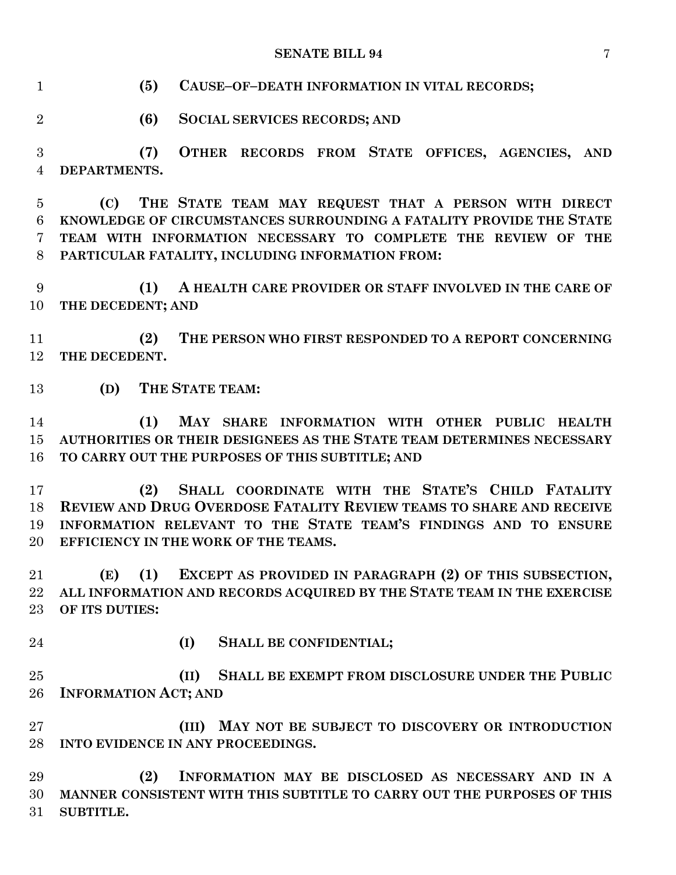**(5) CAUSE–OF–DEATH INFORMATION IN VITAL RECORDS;**

**(6) SOCIAL SERVICES RECORDS; AND**

 **(7) OTHER RECORDS FROM STATE OFFICES, AGENCIES, AND DEPARTMENTS.**

 **(C) THE STATE TEAM MAY REQUEST THAT A PERSON WITH DIRECT KNOWLEDGE OF CIRCUMSTANCES SURROUNDING A FATALITY PROVIDE THE STATE TEAM WITH INFORMATION NECESSARY TO COMPLETE THE REVIEW OF THE PARTICULAR FATALITY, INCLUDING INFORMATION FROM:**

 **(1) A HEALTH CARE PROVIDER OR STAFF INVOLVED IN THE CARE OF THE DECEDENT; AND**

 **(2) THE PERSON WHO FIRST RESPONDED TO A REPORT CONCERNING THE DECEDENT.**

**(D) THE STATE TEAM:**

 **(1) MAY SHARE INFORMATION WITH OTHER PUBLIC HEALTH AUTHORITIES OR THEIR DESIGNEES AS THE STATE TEAM DETERMINES NECESSARY TO CARRY OUT THE PURPOSES OF THIS SUBTITLE; AND**

 **(2) SHALL COORDINATE WITH THE STATE'S CHILD FATALITY REVIEW AND DRUG OVERDOSE FATALITY REVIEW TEAMS TO SHARE AND RECEIVE INFORMATION RELEVANT TO THE STATE TEAM'S FINDINGS AND TO ENSURE EFFICIENCY IN THE WORK OF THE TEAMS.**

 **(E) (1) EXCEPT AS PROVIDED IN PARAGRAPH (2) OF THIS SUBSECTION, ALL INFORMATION AND RECORDS ACQUIRED BY THE STATE TEAM IN THE EXERCISE OF ITS DUTIES:**

- 
- **(I) SHALL BE CONFIDENTIAL;**

 **(II) SHALL BE EXEMPT FROM DISCLOSURE UNDER THE PUBLIC INFORMATION ACT; AND**

 **(III) MAY NOT BE SUBJECT TO DISCOVERY OR INTRODUCTION INTO EVIDENCE IN ANY PROCEEDINGS.**

 **(2) INFORMATION MAY BE DISCLOSED AS NECESSARY AND IN A MANNER CONSISTENT WITH THIS SUBTITLE TO CARRY OUT THE PURPOSES OF THIS SUBTITLE.**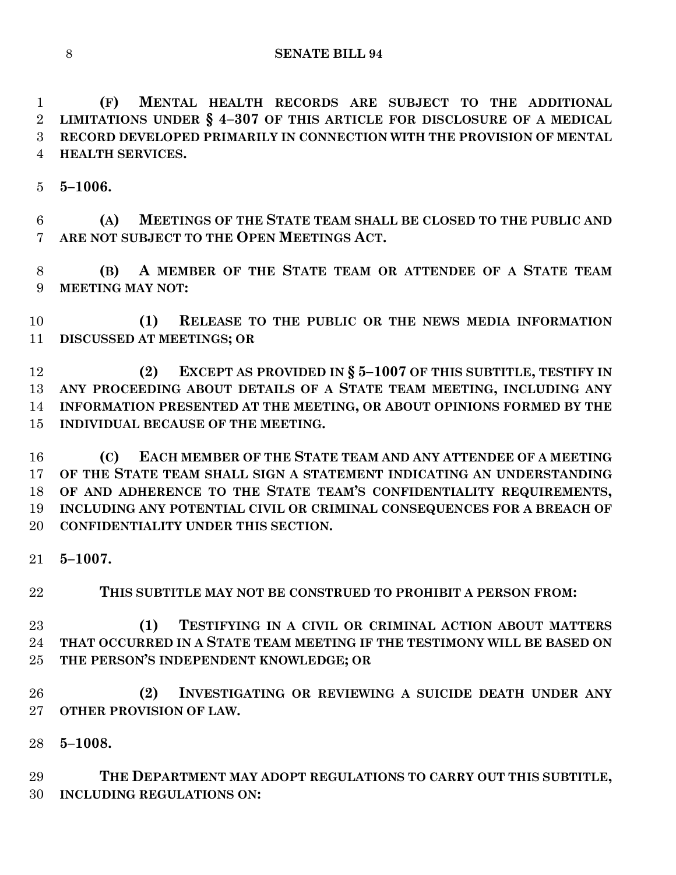**(F) MENTAL HEALTH RECORDS ARE SUBJECT TO THE ADDITIONAL LIMITATIONS UNDER § 4–307 OF THIS ARTICLE FOR DISCLOSURE OF A MEDICAL RECORD DEVELOPED PRIMARILY IN CONNECTION WITH THE PROVISION OF MENTAL HEALTH SERVICES.**

**5–1006.**

 **(A) MEETINGS OF THE STATE TEAM SHALL BE CLOSED TO THE PUBLIC AND ARE NOT SUBJECT TO THE OPEN MEETINGS ACT.**

 **(B) A MEMBER OF THE STATE TEAM OR ATTENDEE OF A STATE TEAM MEETING MAY NOT:**

 **(1) RELEASE TO THE PUBLIC OR THE NEWS MEDIA INFORMATION DISCUSSED AT MEETINGS; OR** 

 **(2) EXCEPT AS PROVIDED IN § 5–1007 OF THIS SUBTITLE, TESTIFY IN ANY PROCEEDING ABOUT DETAILS OF A STATE TEAM MEETING, INCLUDING ANY INFORMATION PRESENTED AT THE MEETING, OR ABOUT OPINIONS FORMED BY THE INDIVIDUAL BECAUSE OF THE MEETING.**

 **(C) EACH MEMBER OF THE STATE TEAM AND ANY ATTENDEE OF A MEETING OF THE STATE TEAM SHALL SIGN A STATEMENT INDICATING AN UNDERSTANDING OF AND ADHERENCE TO THE STATE TEAM'S CONFIDENTIALITY REQUIREMENTS, INCLUDING ANY POTENTIAL CIVIL OR CRIMINAL CONSEQUENCES FOR A BREACH OF CONFIDENTIALITY UNDER THIS SECTION.**

**5–1007.**

**THIS SUBTITLE MAY NOT BE CONSTRUED TO PROHIBIT A PERSON FROM:**

 **(1) TESTIFYING IN A CIVIL OR CRIMINAL ACTION ABOUT MATTERS THAT OCCURRED IN A STATE TEAM MEETING IF THE TESTIMONY WILL BE BASED ON THE PERSON'S INDEPENDENT KNOWLEDGE; OR**

 **(2) INVESTIGATING OR REVIEWING A SUICIDE DEATH UNDER ANY OTHER PROVISION OF LAW.**

**5–1008.**

 **THE DEPARTMENT MAY ADOPT REGULATIONS TO CARRY OUT THIS SUBTITLE, INCLUDING REGULATIONS ON:**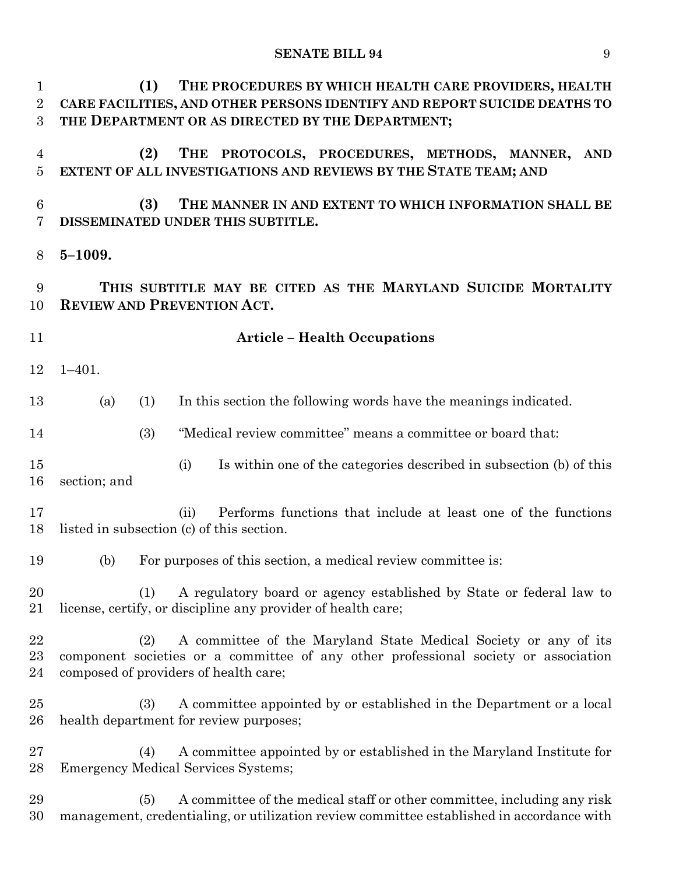| $\mathbf{1}$<br>$\overline{2}$<br>3 | THE PROCEDURES BY WHICH HEALTH CARE PROVIDERS, HEALTH<br>(1)<br>CARE FACILITIES, AND OTHER PERSONS IDENTIFY AND REPORT SUICIDE DEATHS TO<br>THE DEPARTMENT OR AS DIRECTED BY THE DEPARTMENT;           |
|-------------------------------------|--------------------------------------------------------------------------------------------------------------------------------------------------------------------------------------------------------|
| $\overline{4}$<br>$\overline{5}$    | (2)<br>THE<br>PROTOCOLS, PROCEDURES, METHODS, MANNER, AND<br>EXTENT OF ALL INVESTIGATIONS AND REVIEWS BY THE STATE TEAM; AND                                                                           |
| $6\phantom{.}6$<br>7                | (3)<br>THE MANNER IN AND EXTENT TO WHICH INFORMATION SHALL BE<br>DISSEMINATED UNDER THIS SUBTITLE.                                                                                                     |
| 8                                   | $5 - 1009.$                                                                                                                                                                                            |
| 9<br>10                             | THIS SUBTITLE MAY BE CITED AS THE MARYLAND SUICIDE MORTALITY<br><b>REVIEW AND PREVENTION ACT.</b>                                                                                                      |
| 11                                  | <b>Article - Health Occupations</b>                                                                                                                                                                    |
| 12                                  | $1 - 401$ .                                                                                                                                                                                            |
| 13                                  | In this section the following words have the meanings indicated.<br>(1)<br>(a)                                                                                                                         |
| 14                                  | "Medical review committee" means a committee or board that:<br>(3)                                                                                                                                     |
| 15<br>16                            | Is within one of the categories described in subsection (b) of this<br>(i)<br>section; and                                                                                                             |
| 17<br>18                            | Performs functions that include at least one of the functions<br>(ii)<br>listed in subsection (c) of this section.                                                                                     |
| 19                                  | For purposes of this section, a medical review committee is:<br>(b)                                                                                                                                    |
| 20<br>21                            | A regulatory board or agency established by State or federal law to<br>(1)<br>license, certify, or discipline any provider of health care;                                                             |
| 22<br>23<br>24                      | A committee of the Maryland State Medical Society or any of its<br>(2)<br>component societies or a committee of any other professional society or association<br>composed of providers of health care; |
| 25<br>26                            | A committee appointed by or established in the Department or a local<br>(3)<br>health department for review purposes;                                                                                  |
| 27<br>28                            | A committee appointed by or established in the Maryland Institute for<br>(4)<br><b>Emergency Medical Services Systems;</b>                                                                             |
| 29<br>30                            | A committee of the medical staff or other committee, including any risk<br>(5)<br>management, credentialing, or utilization review committee established in accordance with                            |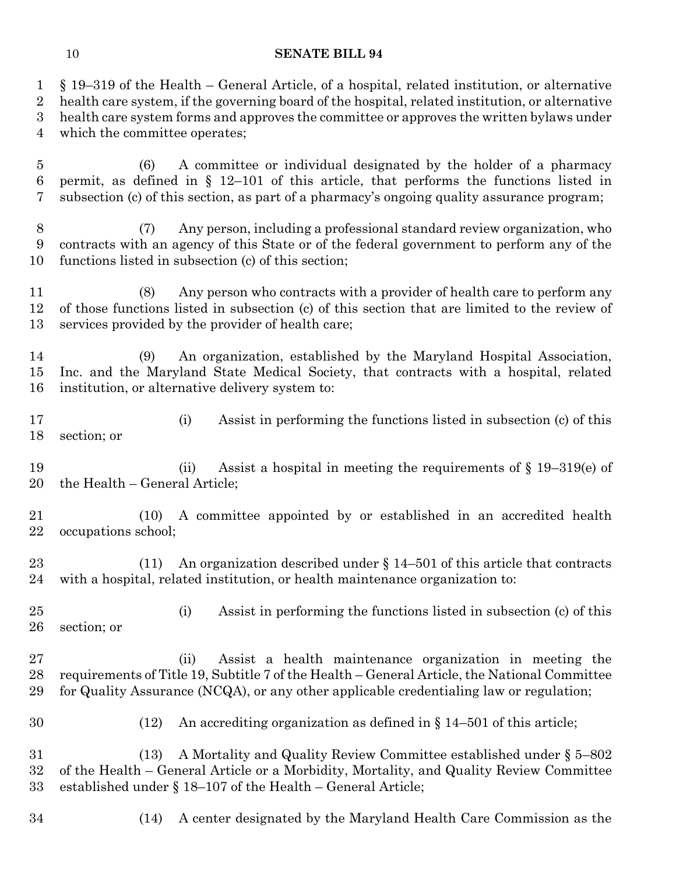§ 19–319 of the Health – General Article, of a hospital, related institution, or alternative health care system, if the governing board of the hospital, related institution, or alternative health care system forms and approves the committee or approves the written bylaws under which the committee operates; (6) A committee or individual designated by the holder of a pharmacy permit, as defined in § 12–101 of this article, that performs the functions listed in subsection (c) of this section, as part of a pharmacy's ongoing quality assurance program; (7) Any person, including a professional standard review organization, who contracts with an agency of this State or of the federal government to perform any of the functions listed in subsection (c) of this section; (8) Any person who contracts with a provider of health care to perform any of those functions listed in subsection (c) of this section that are limited to the review of services provided by the provider of health care; (9) An organization, established by the Maryland Hospital Association, Inc. and the Maryland State Medical Society, that contracts with a hospital, related institution, or alternative delivery system to: (i) Assist in performing the functions listed in subsection (c) of this section; or (ii) Assist a hospital in meeting the requirements of § 19–319(e) of the Health – General Article; (10) A committee appointed by or established in an accredited health occupations school; (11) An organization described under § 14–501 of this article that contracts with a hospital, related institution, or health maintenance organization to: (i) Assist in performing the functions listed in subsection (c) of this section; or (ii) Assist a health maintenance organization in meeting the requirements of Title 19, Subtitle 7 of the Health – General Article, the National Committee for Quality Assurance (NCQA), or any other applicable credentialing law or regulation; (12) An accrediting organization as defined in § 14–501 of this article; (13) A Mortality and Quality Review Committee established under § 5–802 of the Health – General Article or a Morbidity, Mortality, and Quality Review Committee established under § 18–107 of the Health – General Article; (14) A center designated by the Maryland Health Care Commission as the